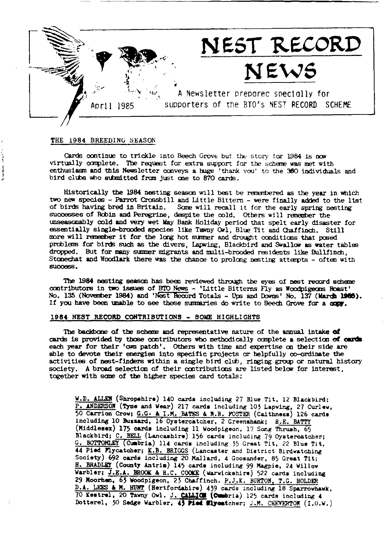

### THE 1984 BREEDING SEASON

Cards continue to trickle into Beech Grove but the story for 1984 is now virtually complete. The request for extra support for the scheme was met with enthusiasm and this Newsletter conveys a huge 'thank you' to the 360 individuals and bird clubs who submitted from just one to 870 cards.

Historically the 1984 nesting season will best be remembered as the year in which two new species - Parrot Crossbill and Little Bittern - were finally added to the list of birds having bred in Britain. Some will recall it for the early spring nesting successes of Robin and Peregrine, despite the cold. Others will remember the unseasonably cold and very wet May Bank Holiday period that spelt early disaster for essentially single-brooded species like Tawny Owl, Blue Tit and Chaffinch. Still more will remember it for the long hot summer and drought conditions that posed problems for birds such as the divers, Lapwing, Blackbird and Swallow as water tables dropped. But for many summer migrants and multi-brooded residents like Bullfinch. Stonechat and Woodlark there was the chance to prolong nesting attempts - often with success.

The 1984 nesting season has been reviewed through the eyes of nest record scheme contributors in two issues of BTO News - 'Little Bitterns Fly as Woodpigeons Roast' No. 135 (November 1984) and 'Nest Record Totals - Ups and Downs' No. 137 (March 1985). If you have been unable to see these summaries do write to Beech Grove for a copy.

#### 1984 NEST RECORD CONTRIBUTIONS - SOME HIGHLIGHTS

The backbone of the scheme and representative nature of the annual intake of cards is provided by those contributors who methodically complete a selection of cards each year for their 'own patch'. Others with time and expertise on their side are able to devote their energies into specific projects or helpfully co-ordinate the activities of nest-finders within a single bird club, ringing group or natural history society. A broad selection of their contributions are listed below for interest, together with some of the higher species card totals:

W.D. ALLEN (Shropshire) 140 cards including 27 Blue Tit, 12 Blackbird; P. ANDERSON (Tyne and Wear) 217 cards including 103 Lapving, 27 Curley, 50 Carrion Crow; G.G. & I.M. BATES & N.R. POSTER (Caithness) 126 cards including 10 Bussard, 16 Oystercatcher, 2 Greenshank: R.E. BATTY (Middlesex) 175 cards including 11 Woodpigeon, 17 Song Thrush, 65 Blackbird; C. BELL (Lancashire) 156 cards including 79 Oystercatcher; G. BOTTOMLEY (Cumbria) 114 cards including 55 Great Tit, 22 Blue Tit, 44 Pied Flycatcher; K.B. BRIGGS (Lancaster and District Birdwatching Society) 692 cards including 20 Mallard, 4 Goosander, 85 Great Tit; H. BRADLEY (County Antrin) 145 cards including 99 Magpie, 24 Willow Warbler; J.E.A. BROOK & R.C. COOKE (Warwickshire) 522 cards including 29 Moorhen, 63 Woodpigeon, 23 Chaffinch. P.J.K. BURTON, T.G. HOLDER D.A. LEES & M. HUNT (Hertfordshire) 439 cards including 18 Sparrowhawk, 70 Kestrel, 20 Tawny Owl. J. CALLION (Cumbria) 125 cards including 4 Dotterel, 30 Sedge Warbler, 43 Pied Mlycatcher; J.M. CHEVERTON (I.O.W.)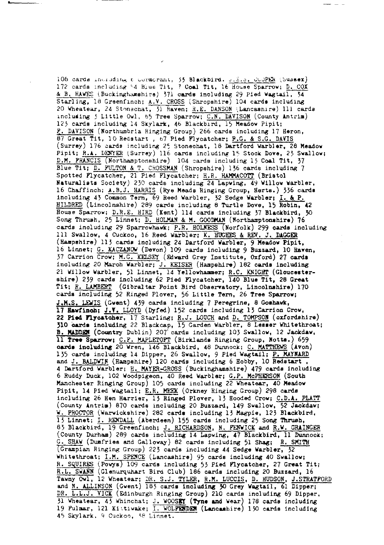108 cards including t cormorant, 55 Blackbird. g.E.S. COOPER (Sussex) 172 cards including 64 Blue Tit, 7 Coal Tit, 16 House Sparrow; D. COX & B. HAWES (Buckinghamshire) 371 cards including 29 Pied Wagtail, 34 Starling, 18 Greenfinch; A.V. CROSS (Shropshire) 104 cards including 20 Wheater, 24 Stonechat, 31 Raven; R.E. DANSON (Lancasnire) 111 cards<br>including 5 Little Owl, 65 Tree Sparrow; C.N. DAVISON (County Antrin) 123 cards including 14 Skylark, 46 Blackbird, 15 Meadow Pipit; P. DAVISON (Northumbria Ringing Group) 266 cards including 17 Heron, 87 Great Tit, 10 Redstart, 67 Pied Flycatcher; P.G. & S.G. DAVIS (Surrey) 176 cards including 25 Stonechat, 18 Dartford Warbler, 28 Meadow Pipit; R.A. DENYER (Surrey) 116 cards including 15 Stock Dove, 23 Swallow; D.M. PRANCIS (Northamptonshire) 104 cards including 13 Coal Tit, 37 Blue Tit; D. FULTON & T. CROSSMAN (Shropshire) 136 cards including 7 Spotted Plycatcher, 21 Pied Flycatcher; H.R. HAMMACOTT (Bristol Naturalists Society) 230 cards including 24 Lapving, 49 Willow Warbler, 16 Chaffinch; A.B.J. HARRIS (Rye Meads Ringing Group, Herts.) 336 cards including 43 Common Tern, 69 Reed Warbler, 32 Sedge Warbler; I. & P. HILDRED (Lincolnshire) 289 cards including 8 Turtle Dove, 15 Robin, 42 House Sparrow; D.R.E. HIRD (Kent) 114 cards including 37 Blackbird, 30 Song Thrush, 25 Linnet; D. HOLMAN & M. GOODMAN (Northamptonshire) 76 cards including 29 Sparrowhawk; P.R. HOLNESS (Norfolk) 299 cards including 111 Swallow, 4 Cuckco, 16 Reed Warbler; K. HUGHES & REV. J. DAGGER (Hampshire) 113 cards including 24 Dartford Warbler, 9 Meadow Pipit, 16 Linnet; G. KACZANOW (Devon) 109 cards including 9 Buzzard, 10 Raven, 37 Carrion Crow; M.G. KELSEY (Edward Grey Institute, Oxford) 27 cards including 20 March Warbler; J. KEISER (Hampshire) 182 cards including 21 Willow Warbler, 51 Linnet, 14 Yellowhammer; R.C. KNIGHT (Gloucestershire) 239 cards including 62 Pied Flycatcher, 140 Blue Tit. 28 Great Tit; R. LAMBERT (Gibraltar Point Bird Observatory, Lincolnshire) 170<br>cards including 52 Ringed Plover, 56 Little Tern, 26 Tree Sparrow; J.M.S. LEWIS (Gwent) 439 cards including 7 Peregrine, 8 Goshawk, 17 Hawfinch; J.V. LLOYD (Dyfed) 152 cards including 13 Carrion Crow, 22 Pied Flycatcher, 17 Starling; R.J. LOUCH and D. TOMPSON (oxfordshire) 310 cards including 22 Blackcap, 15 Carden Warbler, 8 Lesser Whitethroat; B. MADDEN (Country Dublin) 207 cards including 103 Swallow, 12 Jackdaw, 11 Tree Sparrow; C.P. MAPLETOFT (Birklands Ringing Group, Notts.) 659 cards including 20 Wren, 146 Blackbird, 48 Dunnock; C. MATTHEWS (Avon) 135 cards including 14 Dipper, 26 Swallow, 9 Pied Wagtail; P. MAYNARD and J. BALDWIN (Hampshire) 120 cards including 6 Hobby, 10 Redstart, 4 Dartford Warbler; H. MAYER-GROSS (Buckinghamshire) 479 cards including 6 Ruddy Duck, 102 Woodpigeon, 40 Reed Warbler; G.P. McPHERSON (South Manchester Ringing Group) 105 cards including 22 Wheatear, 40 Meadow Pipit, 14 Pied Wagtail; E.R. MEEK (Orkney Ringing Group) 298 cards including 26 Hen Harrier, 13 Ringed Plover, 13 Hooded Crow; C.D.A. PLATT (County Antrim) 870 cards including 20 Buzzard, 149 Swallow, 52 Jackdaw; W. PROCTOR (Warwickshire) 282 cards including 13 Magpie, 123 Blackbird, 15 Linnet; I. RENDALL (Aberdeen) 155 cards including 25 Song Thrush, 83 Blackbird, 19 Greenfinch; J. RICHARDSON, N. FENVICK and R.W. GRAINGER (County Durham) 289 cards including 14 Lapwing, 47 Blackbird, 11 Dunnock; G. SHAW (Dumfries and Galloway) 82 cards including 51 Shag; R. SMITH (Grampian Ringing Group) 223 cards including 44 Sedge Warbler, 32 Whitethroat; I.M. SPENCE (Lancashire) 95 cards including 40 Swallow; R. SQUIRES (Powys) 109 cards including 53 Pied Flycatcher, 27 Great Tit; R.L. SWANN (Glenurquhart Bird Club) 186 cards including 20 Buzzard, 16 Tawny Owl, 12 Wheatear; DR. S.J. TYLER, R.M. LUCCIS, D. HUDSON, J.STRATPORD and N. ALLINSON (Gvent) 183 cards including 30 Grey Wagtail, 61 Dipper; DR. L.L.J. VICK (Edinburgh Ringing Group) 210 cards including 69 Dipper, 31 Wheatear, 43 Whinchat; J. WOOSEY (Tyne and Wear) 178 cards including<br>19 Pulmar, 121 Kittiwake;  $\frac{1}{1.5}$  WOLFERDEN (Lancashire) 130 cards including 45 Skylark, 9 Cuckoo, 38 Linnet.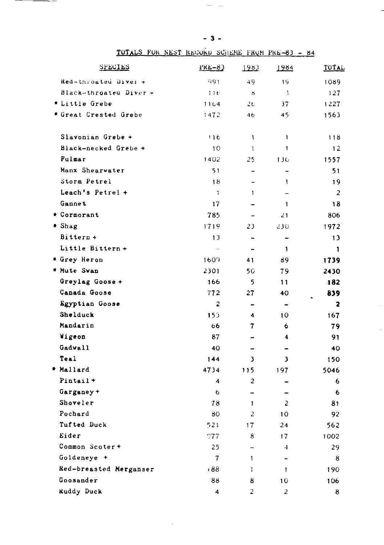| <b>SPECIES</b>         | $PRE-83$            | 1983                     | 1984                     | TOTAL        |
|------------------------|---------------------|--------------------------|--------------------------|--------------|
| Hed-throated Diver +   | 991                 | 49                       | 19                       | 1089         |
| Black-throated Diver + | 116                 | $\delta$                 | -3                       | 127          |
| * Little Grebe         | 1164                | $2\epsilon$              | 37                       | 1227         |
| * Great Crested Grebe  | 1472                | 46                       | 45                       | 1563         |
| Slavonian Grebe +      | 116                 | $\mathbf{1}$             | 1                        | 118          |
| Black-necked Grebe +   | 10                  | $\mathbf{1}$             | 1                        | 12           |
| <b>Fulmar</b>          | 1402                | 25                       | 130                      | 1557         |
| Manx Shearwater        | 51                  | $\overline{\phantom{0}}$ | $\overline{a}$           | 51           |
| Storm Petrel           | 18                  | ۰                        | $\mathbf{I}$             | 19           |
| Leach's Petrel +       | $\mathbf{1}$        | 1                        |                          | 2            |
| Gannet                 | 17                  |                          | 1                        | 18           |
| * Cormorant            | 785                 |                          | 21                       | 806          |
| * Shag                 | 1719                | 23                       | 230                      | 1972         |
| Bittern +              | 13                  | $\overline{\phantom{0}}$ | $\overline{\phantom{0}}$ | 13           |
| Little Bittern +       | $\bar{\phantom{a}}$ |                          | 1                        | $\mathbf{1}$ |
| * Grey Heron           | 1609                | 41                       | 89                       | 1739         |
| * Mute Swan            | 2301                | 5 <sub>0</sub>           | 79                       | 2430         |
| Greylag Goose +        | 166                 | 5                        | 11                       | 182          |
| Canada Goose           | 772                 | 27                       | 40                       | 839          |
| Egyptian Goose         | 2                   | -                        |                          | $\mathbf{2}$ |
| Shelduck               | 153                 | 4                        | 10                       | 167          |
| Mandarin               | 66                  | 7                        | 6                        | 79           |
| Wigeon                 | 87                  | $\blacksquare$           | 4                        | 91           |
| Gadwall                | 40                  |                          |                          | 40           |
| Teal                   | 144                 | 3                        | 3                        | 150          |
| * Mallard              | 4734                | 115                      | 197                      | 5046         |
| Pintail +              | 4                   | $\overline{c}$           |                          | 6            |
| Garganey +             | 6                   | -                        |                          | 6            |
| Shoveler               | 78                  | $\mathbf{1}$             | $\overline{a}$           | 81           |
| Pochard                | 80                  | $\overline{c}$           | 10                       | 92           |
| Tufted Duck            | 521                 | 17                       | 24                       | 562          |
| Eider                  | 977                 | 8                        | 17                       | 1002         |
| Common Scoter+         | 25                  | $\overline{a}$           | $\overline{4}$           | 29           |
| Goldeneye +            | $\tau$              | 1                        | $\ddot{\phantom{1}}$     | 8            |
| Red-breasted Merganser | :88                 | ı.                       | $\mathbf{1}$             | 190          |
| Goosander              | 88                  | 8                        | 10                       | 106          |
| <b>Ruddy Duck</b>      | 4                   | 2                        | $\overline{c}$           | 8            |

TOTALS FOR NEST RECORD SCHENE FROM PRE-83 - 84

 $-3-$ 

 $\sim$   $\sim$ 

 $\overline{a}$ 

 $\overline{\phantom{a}}$ 

\_\_\_\_\_\_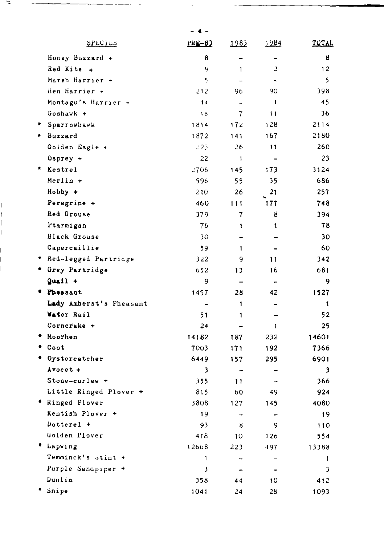| SPECIES                 | <u> PRE-83</u> | 1983                     | 1984                     | TOTAL |
|-------------------------|----------------|--------------------------|--------------------------|-------|
| Honey Buzzard +         | 8              | -                        |                          | 8     |
| Red Kite +              | 9              | 1                        | 2                        | 12    |
| Marsh Harrier +         | $\varsigma$    |                          | $\overline{\phantom{a}}$ | 5     |
| Hen Harrier +           | 212            | 96                       | 90                       | 398   |
| Montagu's Harrier +     | 44             | $\overline{\phantom{0}}$ | $\mathbf{1}$             | 45    |
| Goshawk +               | 1 <sub>b</sub> | $\overline{7}$           | 11                       | 36    |
| Sparrowhawk             | 1814           | 172                      | 128                      | 2114  |
| * Buzzard               | 1872           | 141                      | 167                      | 2180  |
| Golden Eagle +          | 223            | 26                       | 11                       | 260   |
| $0$ sprey +             | 22             | $\mathbf{1}$             | $\overline{\phantom{0}}$ | 23    |
| * Kestrel               | $-706$         | 145                      | 173                      | 3124  |
| $Merlin +$              | 596            | 55                       | 35                       | 686   |
| Hobby +                 | 210            | 26                       | 21                       | 257   |
| Peregrine +             | 460            | 111                      | 177                      | 748   |
| Red Grouse              | 379            | 7                        | 8                        | 394   |
| Ptarmigan               | 76             | 1                        | 1                        | 78    |
| <b>Black Grouse</b>     | 30             | -                        | ٠                        | 30    |
| Capercaillie            | 59             | 1                        | $\overline{a}$           | 60    |
| Red-legged Partridge    | 322            | 9                        | 11                       | 342   |
| * Grey Partridge        | 652            | 13                       | 16                       | 681   |
| $Quail +$               | 9              | $\overline{ }$           |                          | 9     |
| * Pheasant              | 1457           | 28                       | 42                       | 1527  |
| Lady Amherst's Pheasant | $\overline{a}$ | 1                        | ٠                        | 1     |
| <b>Water Rail</b>       | 51             | 1                        | $\rightarrow$            | 52    |
| Corncrake +             | 24             |                          | $\mathbf{1}$             | 25    |
| Moorhen                 | 14182          | 187                      | 232                      | 14601 |
| Coot                    | 7003           | 171                      | 192                      | 7366  |
| * Oystercatcher         | 6449           | 157                      | 295                      | 6901  |
| $A$ vocet +             | 3              |                          |                          | 3     |
| Stone-curlew +          | 355            | 11                       | $\rightarrow$            | 366   |
| Little Ringed Plover +  | 815            | 60                       | 49                       | 924   |
| * Ringed Plover         | 3808           | 127                      | 145                      | 4080  |
| Kentish Plover +        | 19             |                          |                          | 19    |
| Dotterel $+$            | 93             | 8                        | 9                        | 110   |
| Golden Plover           | 418            | 10                       | 126                      | 554   |
| * Lapving               | 12668          | 223                      | 497                      | 13388 |
| Temminck's stint +      | 1              | $\sim$                   | $\equiv$                 | 1     |
| Purple Sandpiper +      | 3              |                          | $\overline{ }$           | 3     |
| Dunlin                  | 358            | 44                       | 10                       | 412   |
| Snipe                   | 1041           | 24                       | 28                       | 1093  |
|                         |                |                          |                          |       |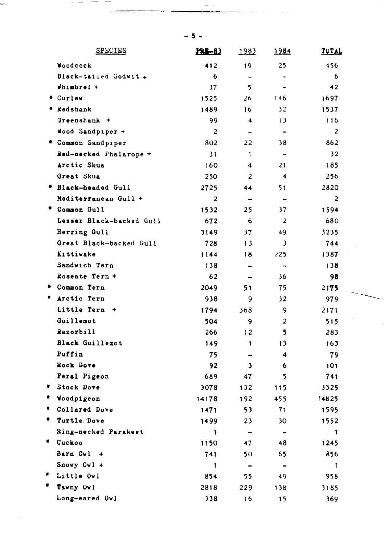|   | <b>SPECIES</b>                | <b>PRE-83</b>  | 1982                     | 1984                     | TOTAL          |
|---|-------------------------------|----------------|--------------------------|--------------------------|----------------|
|   | <b><i><u>Voodcock</u></i></b> | 412            | 19                       | 25                       | 456            |
|   | Black-tailed Godwit +         | 6              | $\overline{\phantom{0}}$ | $\overline{\phantom{0}}$ | 6              |
|   | Whimbrel +                    | 37             | 5.                       |                          | 42             |
|   | * Curlew                      | 1525           | 26                       | 146                      | 1697           |
|   | * Redshank                    | 1489           | 16                       | 32                       | 1537           |
|   | Greenshank +                  | 99             | $\overline{\mathbf{4}}$  | 13                       | 116            |
|   | Wood Sandpiper +              | $\overline{c}$ | $\overline{\phantom{0}}$ | $\overline{\phantom{a}}$ | $\overline{c}$ |
|   | * Common Sandpiper            | 802            | 22                       | 38                       | 862            |
|   | Red-necked Phalarope +        | 31             | $\mathbf{1}$             | $\overline{\phantom{a}}$ | 32             |
|   | Arctic Skua                   | 160            | $\overline{\mathbf{4}}$  | 21                       | 185            |
|   | Great Skua                    | 250            | $\overline{a}$           | $\ddot{\phantom{1}}$     | 256            |
|   | * Black-headed Gull           | 2725           | 44                       | 51                       | 2820           |
|   | Mediterranean Gull +          | $\overline{2}$ |                          |                          | $\overline{2}$ |
|   | * Common Gull                 | 1532           | 25                       | 37                       | 1594           |
|   | Lesser Black-backed Gull      | 672            | 6                        | $\overline{2}$           | 680            |
|   | Herring Gull                  | 3149           | 37                       | 49                       | 3235           |
|   | Great Black-backed Gull       | 728            | 13                       | $\mathbf{3}$             | 744            |
|   | Kittiwake                     | 1144           | 18                       | 225                      | 1387           |
|   | Sandwich Tern                 | 138            | $\frac{1}{2}$            | $\overline{\phantom{0}}$ | 138            |
|   | Roseate Tern +                | 62             |                          | 36                       | 98             |
|   | * Common Tern                 | 2049           | 51                       | 75                       | 2175           |
|   | * Arctic Tern                 | 938            | 9                        | 32                       | 979            |
|   | Little Tern +                 | 1794           | 368                      | 9                        | 2171           |
|   | Guillemot                     | 504            | 9                        | $\overline{a}$           | 515            |
|   | Razorbill                     | 266            | 12                       | 5.                       | 283            |
|   | Black Guillemot               | 149            | 1                        | 13                       | 163            |
|   | Puffin                        | 75             |                          | $\ddot{a}$               | 79             |
|   | Rock Dove                     | 92             | 3                        | 6                        | 101            |
|   | Feral Pigeon                  | 689            | 47                       | 5                        | 741            |
|   | * Stock Dove                  | 3078           | 132                      | 115                      | 3325           |
|   | * Woodpigeon                  | 14178          | 192                      | 455                      | 14825          |
| ٠ | Collared Dove                 | 1471           | 53                       | 71                       | 1595           |
| ٠ | Turtle Dove                   | 1499           | 23                       | 30                       | 1552           |
|   | Ring-necked Parakeet          | 1              | $\ddot{\phantom{1}}$     | $\bullet$                | 1              |
| ٠ | Cuckoo                        | 1150           | 47                       | 48                       | 1245           |
|   | Barn Ovl<br>۰                 | 741            | 50                       | 65                       | 856            |
|   | Snowy Owl $+$                 | $\mathbf{1}$   |                          | $\ddot{\phantom{1}}$     | 1              |
|   | Little Owl                    | 854            | 55                       | 49                       | 958            |
|   | Tawny Owl                     | 2818           | 229                      | 138                      | 3185           |
|   | Long-eared Owl                | 338            | 16                       | 15                       | 369            |

 $\sim$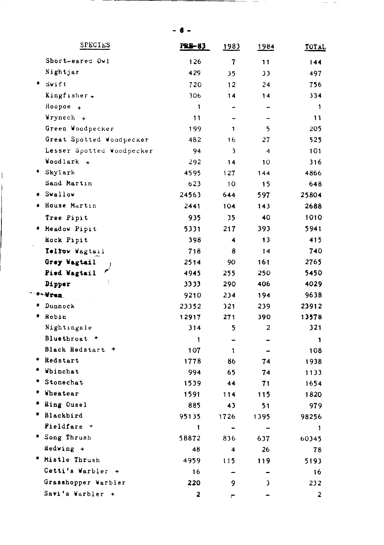\_\_ \_

 $\mathcal{L}_{\mathcal{A}}$  and  $\mathcal{L}_{\mathcal{A}}$  and  $\mathcal{L}_{\mathcal{A}}$ 

| SPECIES                     | PRE-83       | 1983                    | 1984                     | TOTAL          |
|-----------------------------|--------------|-------------------------|--------------------------|----------------|
| Short-eared Owl             | 126          | $\mathbf{7}$            | 11                       | 144            |
| Nightjar                    | 429          | 35                      | 33                       | 497            |
| Swift                       | 720          | 12                      | 24                       | 756            |
| Kingfisher +                | 306          | 14                      | 14                       | 334            |
| Hoopoe <sub>+</sub>         | 1            |                         |                          | $\mathbf{1}$   |
| Wryneck +                   | 11           |                         | $\overline{\phantom{0}}$ | 11             |
| Green Woodpecker            | 199          | 1                       | 5                        | 205            |
| Great Spotted Woodpecker    | 482          | 16                      | 27                       | 525            |
| Lesser Spotted Woodpecker   | 94           | $\overline{\mathbf{3}}$ | $\overline{\bf{4}}$      | 101            |
| Woodlark +                  | 292          | 14                      | 10                       | 316            |
| * Skylark                   | 4595         | 127                     | 144                      | 4866           |
| Sand Martin                 | 623          | 10                      | 15                       | 648            |
| * Swallow                   | 24563        | 644                     | 597                      | 25804          |
| House Martin                | 2441         | 104                     | 143                      | 2688           |
| Tree Pipit                  | 935          | 35                      | 40                       | 1010           |
| * Meadow Pipit              | 5331         | 217                     | 393                      | 5941           |
| Rock Pipit                  | 398          | $\overline{\mathbf{4}}$ | 13                       | 415            |
| Telfow Wagtail              | 718          | 8                       | 14                       | 740            |
| Grey Wagtail                | 2514         | 90                      | 161                      | 2765           |
| Pied Wagtail                | 4945         | 255                     | 250                      | 5450           |
| Dipper                      | 3333         | 290                     | 406                      | 4029           |
| *-Wren.                     | 9210         | 234                     | 194                      | 9638           |
| * Dunnock                   | 23352        | 321                     | 239                      | 23912          |
| * Robin                     | 12917        | 271                     | 390                      | 13578          |
| Nightingale                 | 314          | 5                       | $\overline{2}$           | 321            |
| Bluethroat +                | 1            | -                       |                          | 1              |
| Black Redstart +            | 107          | $\mathbf{1}$            |                          | 108            |
| * Redstart                  | 1778         | 86                      | 74                       | 1938           |
| Whinchat                    | 994          | 65                      | 74                       | 1133           |
| Stonechat                   | 1539         | 44                      | 71                       | 1654           |
| <b>Wheatear</b>             | 1591         | 114                     | 115                      | 1820           |
| ۰<br>Ring Ousel             | 885          | 43                      | 51                       | 979            |
| ₩.<br>Blackbird             | 95135        | 1726                    | 1395                     | 98256          |
| Fieldfare +                 | $\mathbf{1}$ | $\blacksquare$          | $\overline{\phantom{0}}$ | 1              |
| * Song Thrush               | 58872        | 836                     | 637                      | 60345          |
| Redwing +                   | 48           | 4                       | 26                       | 78             |
| * Mistle Thrush             | 4959         | 115                     | 119                      | 5193           |
| Cetti's Warbler +           | 16           | $\equiv$                | $\blacksquare$           | 16             |
| Grasshopper Warbler         | 220          | 9                       | $\overline{\mathbf{3}}$  | 232            |
| Savi's Warbler<br>$\ddot{}$ | 2            |                         |                          | $\overline{2}$ |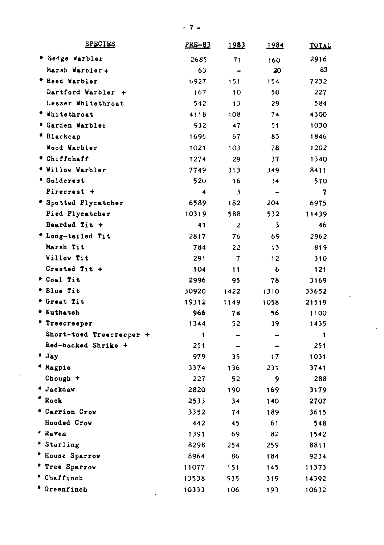| <b>SPECIES</b>           | <b>PRE-83</b>  | 1982                     | <u> 1984</u>         | <u>TOTAL</u> |
|--------------------------|----------------|--------------------------|----------------------|--------------|
| * Sedge Warbler          | 2685           | 71                       | 160                  | 2916         |
| Marsh Warbler+           | 63             | $\overline{a}$           | 20                   | 83           |
| * Reed Warbler           | 6927           | 151                      | 154                  | 7232         |
| Dartford Warbler +       | 167            | 10                       | 50                   | 227          |
| Lesser Whitethroat       | 542            | 13                       | 29                   | 584          |
| * Whitethroat            | 4118           | 108                      | 74                   | 4300         |
| * Garden Warbler         | 932            | 47                       | 51                   | 1030         |
| * Blackcap               | 1696           | 67                       | 83                   | 1846         |
| Wood Warbler             | 1021           | 103                      | 78                   | 1202         |
| * Chiffchaff             | 1274           | 29                       | 37                   | 1340         |
| * Willow Warbler         | 7749           | 313                      | 349                  | 8411         |
| * Goldcrest              | 520            | 16                       | 34                   | 570          |
| Pirecrest +              | 4              | 3                        | $\ddot{\phantom{1}}$ | 7            |
| * Spotted Plycatcher     | 6589           | 182                      | 204                  | 6975         |
| Pied Flycatcher          | 10319          | 588                      | 532                  | 11439        |
| Bearded Tit +            | 41             | $\overline{c}$           | 3                    | 46           |
| * Long-tailed Tit        | 2817           | 76                       | 69                   | 2962         |
| Marsh Tit                | 784            | 22                       | 13                   | 819          |
| Willow Tit               | 291            | 7                        | 12                   | 310          |
| Crested Tit +            | 104            | 11                       | 6                    | 121          |
| * Coal Tit               | 2996           | 95                       | 78                   | 3169         |
| # Blue Tit               | 30920          | 1422                     | 1310                 | 33652        |
| * Great Tit              | 19312          | 1149                     | 1058                 | 21519        |
| * Nuthatch               | 966            | 78                       | 56                   | 1100         |
| * Treecreeper            | 1344           | 52                       | 39                   | 1435         |
| Short-toed Treecreeper + | $\blacksquare$ |                          |                      | 1            |
| Red-backed Shrike +      | 251            | $\overline{\phantom{0}}$ | $\overline{a}$       | 251          |
| * Jay                    | 979            | 35                       | 17                   | 1031         |
| * Magpie                 | 3374           | 136                      | 231                  | 3741         |
| Chough +                 | 227            | 52                       | 9                    | 288          |
| * Jackdaw                | 2820           | 190                      | 169                  | 3179         |
| ۰<br>Rook                | 2533           | 34                       | 140                  | 2707         |
| * Carrion Crow           | 3352           | 74                       | 189                  | 3615         |
| Hooded Crow              | 442            | 45                       | 61                   | 548          |
| * Raven                  | 1391           | 69                       | 82                   | 1542         |
| * Starling               | 8298           | 254                      | 259                  | 8811         |
| * House Sparrow          | 8964           | 86                       | 184                  | 9234         |
| * Tree Sparrow           | 11077          | 151                      | 145                  | 11373        |
| * Chaffinch              | 13538          | 535                      | 319                  | 14392        |
| # Greenfinch             | 10333          | 106                      | 193                  | 10632        |

 $\bar{\mathcal{A}}$ 

 $\sim$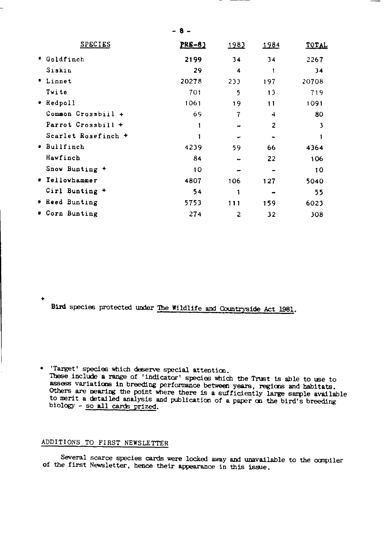| <b>SPECIES</b>         | <b>PRE-83</b> | <u> 1983</u>   | 1984         | <b>TOTAL</b> |
|------------------------|---------------|----------------|--------------|--------------|
| Goldfinch              | 2199          | 34             | 34           | 2267         |
| Siskin                 | 29            | 4              |              | 34           |
| Linnet<br>٠            | 20278         | 233            | 197          | 20708        |
| Twite                  | 701           | 5              | 13           | 719          |
| Redpoll                | 1061          | 19             | 11           | 1091         |
| Common Crossbill +     | 69            | 7              | 4            | 80           |
| Parrot Crossbill +     |               |                | $\mathbf{2}$ | 3            |
| Scarlet Rosefinch +    |               |                |              |              |
| Bullfinch<br>$\bullet$ | 4239          | 59             | 66           | 4364         |
| Hawfinch               | 84            |                | 22           | 106          |
| Snow Bunting +         | 10            |                |              | 10           |
| * Yellowhammer         | 4807          | 106            | 127          | 5040         |
| Cirl Bunting +         | 54            |                |              | 55           |
| Reed Bunting<br>₩.     | 5753          | 111            | 159          | 6023         |
| * Corn Bunting         | 274           | $\overline{c}$ | 32           | 308          |

Bird species protected under The Wildlife and Countryside Act 1981.

\* 'Target' species which deserve special attention. These include a range of 'indicator' species which the Trust is able to use to assess variations in breeding performance between years, regions and habitats. Others are nearing the point where there is a sufficiently large sample available to merit a detailed analysis and publication of a paper on the bird's breeding biology - so all cards prized.

# ADDITIONS TO FIRST NEWSLETTER

 $\ddotmark$ 

Several scarce species cards were locked away and unavailable to the compiler of the first Newsletter, hence their appearance in this issue.

 $-8 -$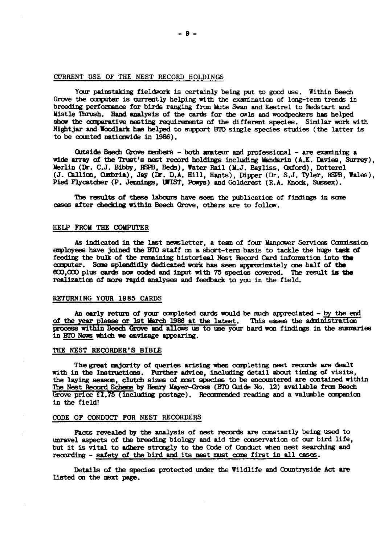# CURRENT USE OF THE NEST RECORD HOLDINGS

Your painstaking fieldwork is certainly being put to good use. Within Beech Grove the computer is currently helping with the examination of long-term trends in breeding performance for birds ranging from Mate Swan and Kestrel to Redstart and Mistle Thrush. Hand analysis of the cards for the owls and woodpeckers has helped show the comparative nesting requirements of the different species. Similar work with Nightjar and Woodlark has helped to support BTO single species studies (the latter is to be counted nationwide in 1986).

Outside Beech Grove members - both amateur and professional - are examining a wide array of the Trust's nest record holdings including Mandarin (A.K. Davies, Surrey). Werlin (Dr. C.J. Bibby, RSPB, Beds), Water Rail (M.J. Bayliss, Oxford), Dotterel (J. Callion, Ombria), Jay (Dr. D.A. Hill, Hants), Dipper (Dr. S.J. Tyler, RSPB, Wales), Pied Flycatcher (P. Jennings, UWIST, Powys) and Goldc

The results of these labours have seen the publication of findings in some cases after checking within Beech Grove, others are to follow.

# HELP FROM THE COMPUTER

As indicated in the last newsletter, a team of four Manpower Services Commission employees have joined the BTO staff on a short-term basis to tackle the huge task of feeding the bulk of the remaining historical Nest Record Card information into the computer. Some splendidly dedicated work has seen approximately one half of the 600,000 plus cards now coded and input with 75 species covered. The result is the realization of more ranid analyses and feedback to you in the field.

#### RETURNING YOUR 1985 CARDS

An early return of your completed cards would be much appreciated - by the end of the year please or lst March 1986 at the latest. This eases the administration process within Beech Grove and allows us to use your hard won findings in the summaries in BTO News which we envisage appearing.

#### THE NEST RECORDER'S BIBLE

The great majority of queries arising when completing nest records are dealt with in the Instructions. Further advice, including detail about timing of visits, the laying season, clutch sizes of most species to be encountered are contained within The Nest Record Scheme by Henry Mayer-Gross (BTO Guide No. 12) available from Beech Grove  $\text{prloe } \Omega$ .75 (including postage). Recommended reading and a valuable companion In the field!

#### CODE OF CONDUCT FOR NEST RECORDERS

Facts revealed by the analysis of nest records are constantly being used to unravel aspects of the breeding biology and aid the conservation of our bird life. but it is vital to adhere strongly to the Code of Conduct when nest searching and recording - safety of the bird and its nest must come first in all cases.

Details of the species protected under the Wildlife and Countryside Act are listed on the next page.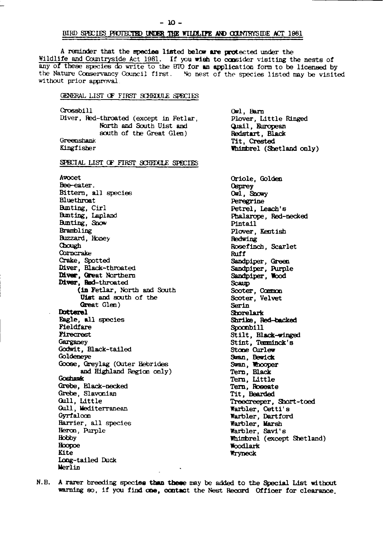## BIRD SPECIES PROTECTED UNDER THE WILDLIFE AND COUNTRYSIDE ACT 1981

A reminder that the species listed below are protected under the Wildlife and Countryside Act 1981. If you wish to consider visiting the nests of any of these species do write to the BIO for an application form to be licensed by the Nature Conservancy Council first. No nest of the species listed may be visited without prior approval.

#### GENERAL LIST OF FIRST SCHEDULE SPECIES

Crossbill Diver, Red-throated (except in Fetlar, North and South Uist and south of the Great Glen) Greenshank Kingfisher

Owl. Barn Plover, Little Ringed Quail, European Redstart, Black Tit, Crested Whimbrel (Shetland only)

SPECIAL LIST OF FIRST SCHEDULE SPECIES

Avocet Bee-eater. Bittern, all species Bluethroat Bunting, Cirl Bunting, Lapland Bunting, Show Brambling Buzzard, Honey Chough Cornerake Crake, Spotted Diver, Black-throated Diver, Great Northern Diver, Red-throated (in Fetlar, North and South Uist and south of the Great Glen) Dotterel Eagle, all species Pieldfare **Firecrest** Garganev Godwit, Black-tailed Goldeneye Goose, Greylag (Outer Hebrides and Highland Region only) **Coshawk** Grebe, Black-necked Grebe, Slavonian Gull, Little Gull, Mediterranean Gyrfalcon Harrier, all species Heron, Purple Hobby Hoopoe Kite Long-tailed Duck Merlin

Oriole, Golden **Osprey** Owl, Snowy Peregrine Petrel, Leach's Phalarope, Red-necked Pintail Plover, Kentish Redwing Rosefinch, Scarlet Ruff Sandpiper, Green Sandpiper, Purple Sandpiper, Wood Scaun Scoter, Common Scoter, Velvet Serin Shorelark Shrike, Red-backed Spoonbill Stilt, Black-winged Stint, Temminck's Stone Curlew Swan, Bewick Swan, Whooper Tern, Black Tern, Little Tern, Roseate Tit, Bearded Treecreeper, Short-toed Warbler, Cetti's Warbler, Dartford Warbler, Marsh Warbler, Savi's Whimbrel (except Shetland) Woodlark Wryneck

N.B. A rarer breeding species than these may be added to the Special List without warning so, if you find one, contact the Nest Record Officer for clearance.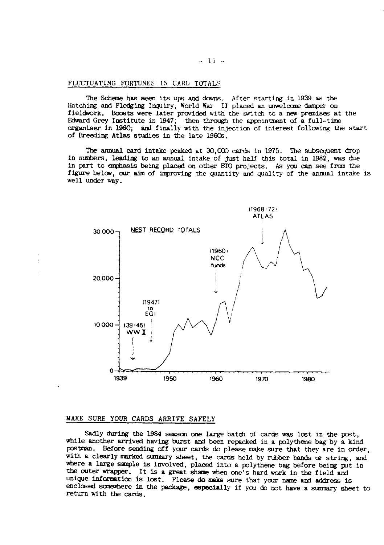FLUCTUATING FORTUNES IN CARL TOTALS

The Scheme has seen its ups and downs. After starting in 1939 as the Hatching and Fledging Inquiry, World War II placed an unwelcome damper on fieldwork. Boosts were later provided with the switch to a new premises at the Edward Grey Institute in 1947; then through the appointment of a full-time organiser in 1960; and finally with the injection of interest following the start of Breeding Atlas studies in the late 1960s.

The annual card intake peaked at 30,000 cards in 1975. The subsequent drop in numbers, leading to an annual intake of just half this total in 1982, was due in part to emphasis being placed on other BTO projects. As you can see from the figure below, our aim of improving the quantity and quality of the annual intake is well under way.



# MAKE SURE YOUR CARDS ARRIVE SAFELY

Sadly during the 1984 season one large batch of cards was lost in the post. while another arrived having burst and been repacked in a polythene bag by a kind postman. Before sending off your cards do please make sure that they are in order, with a clearly marked summary sheet, the cards held by rubber bands or string, and where a large sample is involved, placed into a polythene bag before being put in the outer wrapper. It is a great shame when one's hard work in the field and unique information is lost. Please do make sure that your name and address is enclosed somewhere in the package, especially if you do not have a summary sheet to return with the cards.